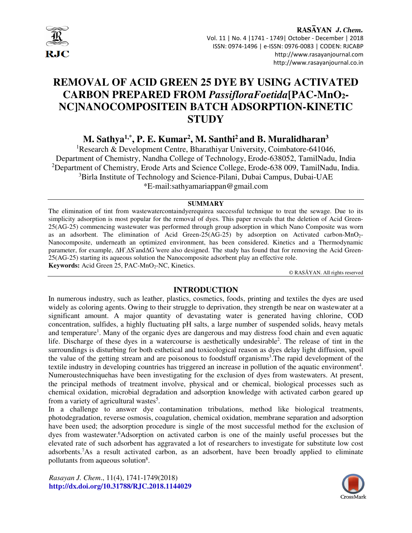

#### RASAYAN J. Chem. Vol. 11 | No. 4 |1741 - 1749| October - December | 2018 ISSN: 0974-1496 | e-ISSN: 0976-0083 | CODEN: RJCABP http://www.rasayanjournal.com http://www.rasayanjournal.co.in

# **REMOVAL OF ACID GREEN 25 DYE BY USING ACTIVATED CARBON PREPARED FROM** *PassifloraFoetida***[PAC-MnO2- NC]NANOCOMPOSITEIN BATCH ADSORPTION-KINETIC STUDY**

# **M. Sathya1,\*, P. E. Kumar<sup>2</sup> , M. Santhi<sup>2</sup>and B. Muralidharan<sup>3</sup>**

<sup>1</sup>Research & Development Centre, Bharathiyar University, Coimbatore-641046, Department of Chemistry, Nandha College of Technology, Erode-638052, TamilNadu, India <sup>2</sup>Department of Chemistry, Erode Arts and Science College, Erode-638 009, TamilNadu, India. <sup>3</sup>Birla Institute of Technology and Science-Pilani, Dubai Campus, Dubai-UAE \*E-mail:sathyamariappan@gmail.com

#### **SUMMARY**

The elimination of tint from wastewatercontaindyerequirea successful technique to treat the sewage. Due to its simplicity adsorption is most popular for the removal of dyes. This paper reveals that the deletion of Acid Green-25(AG-25) commencing wastewater was performed through group adsorption in which Nano Composite was worn as an adsorbent. The elimination of Acid Green- $25(\overrightarrow{AG}-25)$  by adsorption on Activated carbon-MnO<sub>2</sub>-Nanocomposite, underneath an optimized environment, has been considered. Kinetics and a Thermodynamic parameter, for example, ∆H°,∆S°and∆G°were also designed. The study has found that for removing the Acid Green-25(AG-25) starting its aqueous solution the Nanocomposite adsorbent play an effective role. Keywords: Acid Green 25, PAC-MnO<sub>2</sub>-NC, Kinetics.

© RASĀYAN. All rights reserved

# **INTRODUCTION**

In numerous industry, such as leather, plastics, cosmetics, foods, printing and textiles the dyes are used widely as coloring agents. Owing to their struggle to deprivation, they strength be near on wastewater at a significant amount. A major quantity of devastating water is generated having chlorine, COD concentration, sulfides, a highly fluctuating pH salts, a large number of suspended solids, heavy metals and temperature<sup>1</sup>. Many of the organic dyes are dangerous and may distress food chain and even aquatic life. Discharge of these dyes in a watercourse is aesthetically undesirable<sup>2</sup>. The release of tint in the surroundings is disturbing for both esthetical and toxicological reason as dyes delay light diffusion, spoil the value of the getting stream and are poisonous to foodstuff organisms<sup>3</sup>. The rapid development of the textile industry in developing countries has triggered an increase in pollution of the aquatic environment<sup>4</sup>. Numeroustechniquehas have been investigating for the exclusion of dyes from wastewaters. At present, the principal methods of treatment involve, physical and or chemical, biological processes such as chemical oxidation, microbial degradation and adsorption knowledge with activated carbon geared up from a variety of agricultural wastes<sup>5</sup>.

In a challenge to answer dye contamination tribulations, method like biological treatments, photodegradation, reverse osmosis, coagulation, chemical oxidation, membrane separation and adsorption have been used; the adsorption procedure is single of the most successful method for the exclusion of dyes from wastewater.<sup>6</sup>Adsorption on activated carbon is one of the mainly useful processes but the elevated rate of such adsorbent has aggravated a lot of researchers to investigate for substitute low cost adsorbents.<sup>7</sup>As a result activated carbon, as an adsorbent, have been broadly applied to eliminate pollutants from aqueous solution<sup>8</sup>.

*Rasayan J. Chem*., 11(4), 1741-1749(2018) **http://dx.doi.org/10.31788/RJC.2018.1144029** 

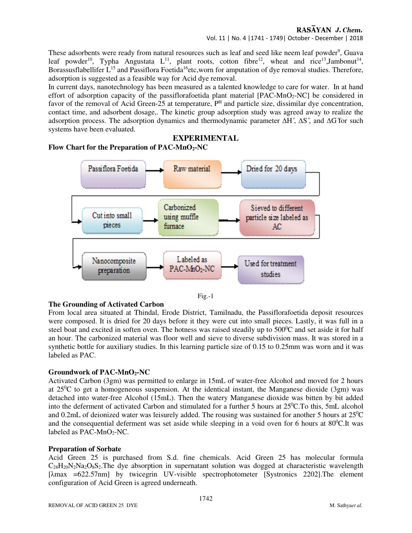# RASAYAN J. Chem.

Vol. 11 | No. 4 |1741 - 1749| October - December | 2018

These adsorbents were ready from natural resources such as leaf and seed like neem leaf powder<sup>9</sup>, Guava leaf powder<sup>10</sup>, Typha Angustata  $L^{11}$ , plant roots, cotton fibre<sup>12</sup>, wheat and rice<sup>13</sup>, Jambonut<sup>14</sup>, Borassusflabellifer L<sup>15</sup> and Passiflora Foetida<sup>16</sup>etc, worn for amputation of dye removal studies. Therefore, adsorption is suggested as a feasible way for Acid dye removal.

In current days, nanotechnology has been measured as a talented knowledge to care for water. In at hand effort of adsorption capacity of the passiflorafoetida plant material  $[PAC-MnO<sub>2</sub>-NC]$  be considered in favor of the removal of Acid Green-25 at temperature,  $P<sup>H</sup>$  and particle size, dissimilar dye concentration, contact time, and adsorbent dosage,. The kinetic group adsorption study was agreed away to realize the adsorption process. The adsorption dynamics and thermodynamic parameter ∆H ̊, ∆S ̊, and ∆G ̊for such systems have been evaluated.

# **EXPERIMENTAL**

# **Flow Chart for the Preparation of PAC-MnO2-NC**



Fig.-1

#### **The Grounding of Activated Carbon**

From local area situated at Thindal, Erode District, Tamilnadu, the Passiflorafoetida deposit resources were composed. It is dried for 20 days before it they were cut into small pieces. Lastly, it was full in a steel boat and excited in soften oven. The hotness was raised steadily up to  $500^{\circ}$ C and set aside it for half an hour. The carbonized material was floor well and sieve to diverse subdivision mass. It was stored in a synthetic bottle for auxiliary studies. In this learning particle size of 0.15 to 0.25mm was worn and it was labeled as PAC.

#### **Groundwork of PAC-MnO2-NC**

Activated Carbon (3gm) was permitted to enlarge in 15mL of water-free Alcohol and moved for 2 hours at  $25^{\circ}$ C to get a homogeneous suspension. At the identical instant, the Manganese dioxide (3gm) was detached into water-free Alcohol (15mL). Then the watery Manganese dioxide was bitten by bit added into the deferment of activated Carbon and stimulated for a further 5 hours at  $25^{\circ}$ C.To this, 5mL alcohol and 0.2mL of deionized water was leisurely added. The rousing was sustained for another 5 hours at  $25^{\circ}$ C and the consequential deferment was set aside while sleeping in a void oven for 6 hours at  $80^{\circ}$ C.It was labeled as PAC-MnO<sub>2</sub>-NC.

#### **Preparation of Sorbate**

Acid Green 25 is purchased from S.d. fine chemicals. Acid Green 25 has molecular formula  $C_{28}H_{20}N_2N_42O_8S_2$ . The dye absorption in supernatant solution was dogged at characteristic wavelength [ $\lambda$ max =622.57nm] by twicegrin UV-visible spectrophotometer [Systronics 2202]. The element configuration of Acid Green is agreed underneath.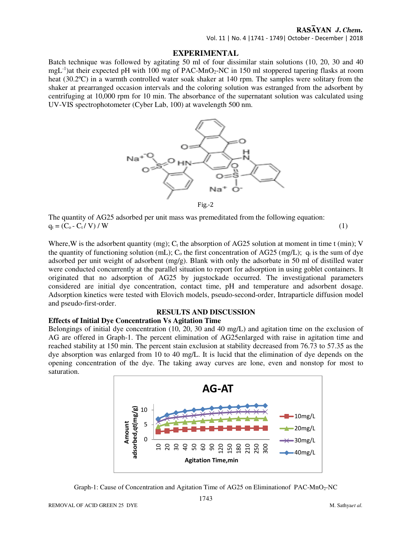# RASAYAN J. Chem.

Vol. 11 | No. 4 |1741 - 1749| October - December | 2018

#### **EXPERIMENTAL**

Batch technique was followed by agitating 50 ml of four dissimilar stain solutions (10, 20, 30 and 40 mgL<sup>-1</sup>)at their expected pH with 100 mg of PAC-MnO<sub>2</sub>-NC in 150 ml stoppered tapering flasks at room heat (30.2<sup>o</sup>C) in a warmth controlled water soak shaker at 140 rpm. The samples were solitary from the shaker at prearranged occasion intervals and the coloring solution was estranged from the adsorbent by centrifuging at 10,000 rpm for 10 min. The absorbance of the supernatant solution was calculated using UV-VIS spectrophotometer (Cyber Lab, 100) at wavelength 500 nm.



The quantity of AG25 adsorbed per unit mass was premeditated from the following equation:  $q_t = (C_0 - C_t / V) / W$  (1)

Where, W is the adsorbent quantity (mg);  $C_t$  the absorption of AG25 solution at moment in time t (min); V the quantity of functioning solution (mL);  $C_0$  the first concentration of AG25 (mg/L);  $q_t$  is the sum of dye adsorbed per unit weight of adsorbent (mg/g). Blank with only the adsorbate in 50 ml of distilled water were conducted concurrently at the parallel situation to report for adsorption in using goblet containers. It originated that no adsorption of AG25 by jugstockade occurred. The investigational parameters considered are initial dye concentration, contact time, pH and temperature and adsorbent dosage. Adsorption kinetics were tested with Elovich models, pseudo-second-order, Intraparticle diffusion model and pseudo-first-order.

# **RESULTS AND DISCUSSION**

#### **Effects of Initial Dye Concentration Vs Agitation Time**

Belongings of initial dye concentration (10, 20, 30 and 40 mg/L) and agitation time on the exclusion of AG are offered in Graph-1. The percent elimination of AG25enlarged with raise in agitation time and reached stability at 150 min. The percent stain exclusion at stability decreased from 76.73 to 57.35 as the dye absorption was enlarged from 10 to 40 mg/L. It is lucid that the elimination of dye depends on the opening concentration of the dye. The taking away curves are lone, even and nonstop for most to saturation.



Graph-1: Cause of Concentration and Agitation Time of AG25 on Eliminationof PAC-MnO2-NC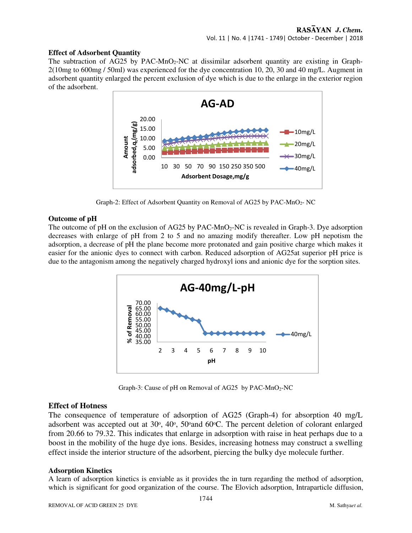#### **Effect of Adsorbent Quantity**

The subtraction of AG25 by PAC-MnO<sub>2</sub>-NC at dissimilar adsorbent quantity are existing in Graph-2(10mg to 600mg / 50ml) was experienced for the dye concentration 10, 20, 30 and 40 mg/L. Augment in adsorbent quantity enlarged the percent exclusion of dye which is due to the enlarge in the exterior region of the adsorbent.



Graph-2: Effect of Adsorbent Quantity on Removal of AG25 by PAC-MnO<sub>2</sub>-NC

#### **Outcome of pH**

The outcome of pH on the exclusion of AG25 by PAC-MnO<sub>2</sub>-NC is revealed in Graph-3. Dye adsorption decreases with enlarge of pH from 2 to 5 and no amazing modify thereafter. Low pH nepotism the adsorption, a decrease of pH the plane become more protonated and gain positive charge which makes it easier for the anionic dyes to connect with carbon. Reduced adsorption of AG25at superior pH price is due to the antagonism among the negatively charged hydroxyl ions and anionic dye for the sorption sites.



Graph-3: Cause of pH on Removal of AG25 by PAC-MnO<sub>2</sub>-NC

#### **Effect of Hotness**

The consequence of temperature of adsorption of AG25 (Graph-4) for absorption 40 mg/L adsorbent was accepted out at 30°, 40°, 50°and 60°C. The percent deletion of colorant enlarged from 20.66 to 79.32. This indicates that enlarge in adsorption with raise in heat perhaps due to a boost in the mobility of the huge dye ions. Besides, increasing hotness may construct a swelling effect inside the interior structure of the adsorbent, piercing the bulky dye molecule further.

#### **Adsorption Kinetics**

A learn of adsorption kinetics is enviable as it provides the in turn regarding the method of adsorption, which is significant for good organization of the course. The Elovich adsorption, Intraparticle diffusion,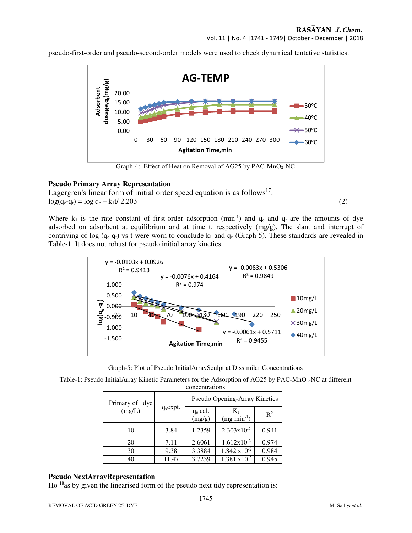Vol. 11 | No. 4 |1741 - 1749| October - December | 2018

pseudo-first-order and pseudo-second-order models were used to check dynamical tentative statistics.



Graph-4: Effect of Heat on Removal of AG25 by PAC-MnO<sub>2</sub>-NC

#### **Pseudo Primary Array Representation**

Lagergren's linear form of initial order speed equation is as follows<sup>17</sup>:  $\log(q_{e}-q_{t}) = \log q_{e} - k_{1}t/2.203$  (2)

Where  $k_1$  is the rate constant of first-order adsorption (min<sup>-1</sup>) and  $q_e$  and  $q_t$  are the amounts of dye adsorbed on adsorbent at equilibrium and at time t, respectively  $(mg/g)$ . The slant and interrupt of contriving of log ( $q_e - q_t$ ) vs t were worn to conclude  $k_1$  and  $q_e$  (Graph-5). These standards are revealed in Table-1. It does not robust for pseudo initial array kinetics.



Graph-5: Plot of Pseudo InitialArraySculpt at Dissimilar Concentrations

| Table-1: Pseudo InitialArray Kinetic Parameters for the Adsorption of AG25 by PAC-MnO <sub>2</sub> -NC at different |
|---------------------------------------------------------------------------------------------------------------------|
| concentrations                                                                                                      |

| Primary of dye<br>(mg/L) |             | Pseudo Opening-Array Kinetics |                        |                |  |
|--------------------------|-------------|-------------------------------|------------------------|----------------|--|
|                          | $q_e$ expt. | $q_e$ cal.<br>(mg/g)          | $K_1$<br>$(mg min-1)$  | $\mathbb{R}^2$ |  |
| 10                       | 3.84        | 1.2359                        | $2.303x10^{-2}$        | 0.941          |  |
| 20                       | 7.11        | 2.6061                        | $1.612x10^{-2}$        | 0.974          |  |
| 30                       | 9.38        | 3.3884                        | $1.842 \times 10^{-2}$ | 0.984          |  |
| 40                       | 11.47       | 3.7239                        | $1.381 \times 10^{-2}$ | 0.945          |  |

#### **Pseudo NextArrayRepresentation**

Ho <sup>18</sup>as by given the linearised form of the pseudo next tidy representation is: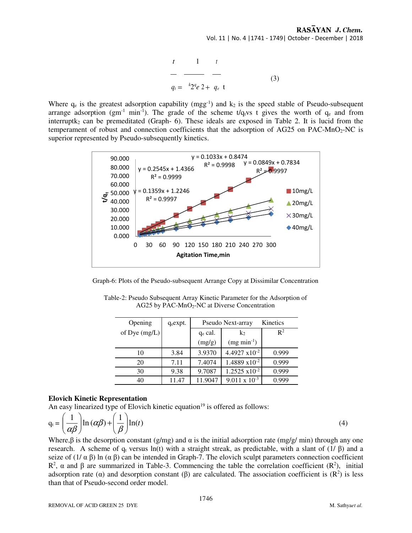$$
\begin{array}{ccc}\nt & 1 & t \\
\hline\n-q_t = \frac{k_2 q_e}{2 + q_e} & \text{(3)}\n\end{array}
$$

Where  $q_e$  is the greatest adsorption capability (mgg<sup>-1</sup>) and  $k_2$  is the speed stable of Pseudo-subsequent arrange adsorption (gm<sup>-1</sup> min<sup>-1</sup>). The grade of the scheme t/q<sub>t</sub>vs t gives the worth of  $q_e$  and from interruptk<sub>2</sub> can be premeditated (Graph- 6). These ideals are exposed in Table 2. It is lucid from the temperament of robust and connection coefficients that the adsorption of AG25 on PAC-MnO<sub>2</sub>-NC is superior represented by Pseudo-subsequently kinetics.



Graph-6: Plots of the Pseudo-subsequent Arrange Copy at Dissimilar Concentration

| Opening         | $q_{e}$ expt. | Kinetics<br>Pseudo Next-array |                         |                |  |  |  |
|-----------------|---------------|-------------------------------|-------------------------|----------------|--|--|--|
| of Dye $(mg/L)$ |               | $q_e$ cal.<br>k <sub>2</sub>  |                         | $\mathbb{R}^2$ |  |  |  |
|                 |               | (mg/g)                        | $(mg min-1)$            |                |  |  |  |
| 10              | 3.84          | 3.9370                        | 4.4927 $x10^{-2}$       | 0.999          |  |  |  |
| 20              | 7.11          | 7.4074                        | 1.4889 $x10^{-2}$       | 0.999          |  |  |  |
| 30              | 9.38          | 9.7087                        | $1.2525 \times 10^{-2}$ | 0.999          |  |  |  |
| 40              | 11.47         | 11.9047                       | $9.011 \times 10^{-3}$  | 0.999          |  |  |  |

Table-2: Pseudo Subsequent Array Kinetic Parameter for the Adsorption of AG25 by PAC-MnO<sub>2</sub>-NC at Diverse Concentration

#### **Elovich Kinetic Representation**

An easy linearized type of Elovich kinetic equation<sup>19</sup> is offered as follows:

$$
q_{t} = \left(\frac{1}{\alpha\beta}\right) \ln\left(\alpha\beta\right) + \left(\frac{1}{\beta}\right) \ln(t)
$$
\n(4)

Where, $\beta$  is the desorption constant (g/mg) and  $\alpha$  is the initial adsorption rate (mg/g/ min) through any one research. A scheme of  $q_t$  versus ln(t) with a straight streak, as predictable, with a slant of (1/  $\beta$ ) and a seize of  $(1/\alpha \beta)$  ln  $(\alpha \beta)$  can be intended in Graph-7. The elovich sculpt parameters connection coefficient R<sup>2</sup>, α and β are summarized in Table-3. Commencing the table the correlation coefficient (R<sup>2</sup>), initial adsorption rate ( $\alpha$ ) and desorption constant ( $\beta$ ) are calculated. The association coefficient is ( $\mathbb{R}^2$ ) is less than that of Pseudo-second order model.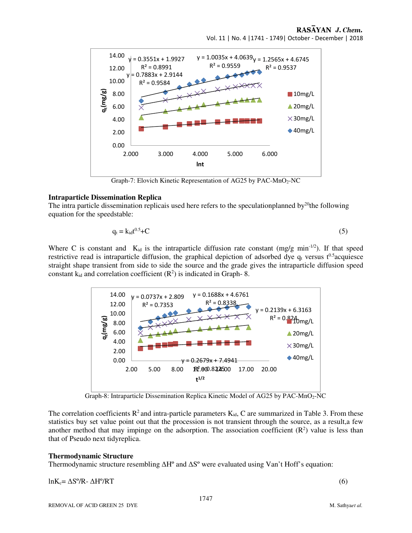#### RASAYAN J. Chem. Vol. 11 | No. 4 |1741 - 1749| October - December | 2018



Graph-7: Elovich Kinetic Representation of AG25 by PAC-MnO<sub>2</sub>-NC

#### **Intraparticle Dissemination Replica**

The intra particle dissemination replicais used here refers to the speculationplanned by<sup>20</sup>the following equation for the speedstable:

$$
q_t = k_{id}t^{0.5} + C \tag{5}
$$

Where C is constant and  $K_{id}$  is the intraparticle diffusion rate constant (mg/g min<sup>-1/2</sup>). If that speed restrictive read is intraparticle diffusion, the graphical depiction of adsorbed dye  $q_t$  versus t<sup>0.5</sup>acquiesce straight shape transient from side to side the source and the grade gives the intraparticle diffusion speed constant  $k_{id}$  and correlation coefficient  $(R^2)$  is indicated in Graph- 8.



Graph-8: Intraparticle Dissemination Replica Kinetic Model of AG25 by PAC-MnO<sub>2</sub>-NC

The correlation coefficients  $R^2$  and intra-particle parameters  $K_{id}$ , C are summarized in Table 3. From these statistics buy set value point out that the procession is not transient through the source, as a result,a few another method that may impinge on the adsorption. The association coefficient  $(R^2)$  value is less than that of Pseudo next tidyreplica.

#### **Thermodynamic Structure**

Thermodynamic structure resembling ∆Hº and ∆Sº were evaluated using Van't Hoff's equation:

 $ln K_c = \Delta S^o / R - \Delta H^o / RT$  (6)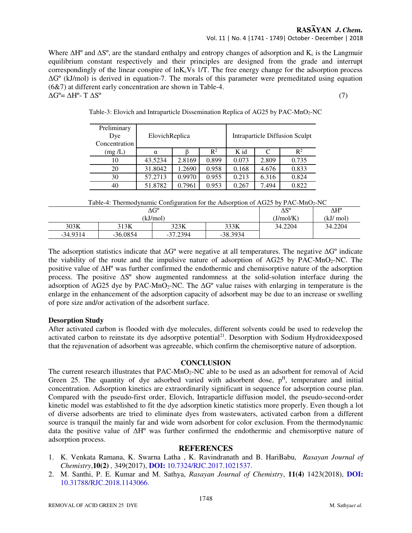# RASAYAN J. Chem.

# Vol. 11 | No. 4 |1741 - 1749| October - December | 2018

Where  $\Delta H^{\circ}$  and  $\Delta S^{\circ}$ , are the standard enthalpy and entropy changes of adsorption and K<sub>c</sub> is the Langmuir equilibrium constant respectively and their principles are designed from the grade and interrupt correspondingly of the linear conspire of  $lnK_cVs$  1/T. The free energy change for the adsorption process ∆Gº (kJ/mol) is derived in equation-7. The morals of this parameter were premeditated using equation (6&7) at different early concentration are shown in Table-4.  $\Delta G^{\circ} = \Delta H^{\circ}$ - T  $\Delta S^{\circ}$  (7)

| Preliminary<br>Dye<br>Concentration | ElovichReplica |        |                |       |       | Intraparticle Diffusion Sculpt |
|-------------------------------------|----------------|--------|----------------|-------|-------|--------------------------------|
| (mg/L)                              | $\alpha$       |        | $\mathbb{R}^2$ | K id  | C     | $\mathbb{R}^2$                 |
| 10                                  | 43.5234        | 2.8169 | 0.899          | 0.073 | 2.809 | 0.735                          |
| 20                                  | 31.8042        | 1.2690 | 0.958          | 0.168 | 4.676 | 0.833                          |
| 30                                  | 57.2713        | 0.9970 | 0.955          | 0.213 | 6.316 | 0.824                          |
| 40                                  | 51.8782        | 0.7961 | 0.953          | 0.267 | 7.494 | 0.822                          |

Table-3: Elovich and Intraparticle Dissemination Replica of AG25 by PAC-MnO<sub>2</sub>-NC

| $\Delta G^{\circ}$ |            |            |            | $\Delta S^{\circ}$ | ΔH°     |
|--------------------|------------|------------|------------|--------------------|---------|
|                    | (kJ/mol)   | (J/mol/K)  | (kJ/ mol)  |                    |         |
| 303K               | 313K       | 323K       | 333K       | 34.2204            | 34.2204 |
| $-34.9314$         | $-36.0854$ | $-37.2394$ | $-38.3934$ |                    |         |

The adsorption statistics indicate that ∆G<sup>°</sup> were negative at all temperatures. The negative ∆G<sup>°</sup> indicate the viability of the route and the impulsive nature of adsorption of  $AG25$  by PAC-MnO<sub>2</sub>-NC. The positive value of ∆Hº was further confirmed the endothermic and chemisorptive nature of the adsorption process. The positive ∆Sº show augmented randomness at the solid-solution interface during the adsorption of AG25 dye by PAC-MnO<sub>2</sub>-NC. The ∆G<sup>°</sup> value raises with enlarging in temperature is the enlarge in the enhancement of the adsorption capacity of adsorbent may be due to an increase or swelling of pore size and/or activation of the adsorbent surface.

#### **Desorption Study**

After activated carbon is flooded with dye molecules, different solvents could be used to redevelop the activated carbon to reinstate its dye adsorptive potential<sup>21</sup>. Desorption with Sodium Hydroxideexposed that the rejuvenation of adsorbent was agreeable, which confirm the chemisorptive nature of adsorption.

#### **CONCLUSION**

The current research illustrates that PAC-MnO<sub>2</sub>-NC able to be used as an adsorbent for removal of Acid Green 25. The quantity of dye adsorbed varied with adsorbent dose,  $p<sup>H</sup>$ , temperature and initial concentration. Adsorption kinetics are extraordinarily significant in sequence for adsorption course plan. Compared with the pseudo-first order, Elovich, Intraparticle diffusion model, the pseudo-second-order kinetic model was established to fit the dye adsorption kinetic statistics more properly. Even though a lot of diverse adsorbents are tried to eliminate dyes from wastewaters, activated carbon from a different source is tranquil the mainly far and wide worn adsorbent for color exclusion. From the thermodynamic data the positive value of ∆Hº was further confirmed the endothermic and chemisorptive nature of adsorption process.

#### **REFERENCES**

- 1. K. Venkata Ramana, K. Swarna Latha , K. Ravindranath and B. HariBabu, *Rasayan Journal of Chemistry*,**10(2)** *,* 349(2017), **DOI:** 10.7324/RJC.2017.1021537.
- 2. M. Santhi, P. E. Kumar and M. Sathya, *Rasayan Journal of Chemistry*, **11(4)** 1423(2018), **DOI:**  10.31788/RJC.2018.1143066.